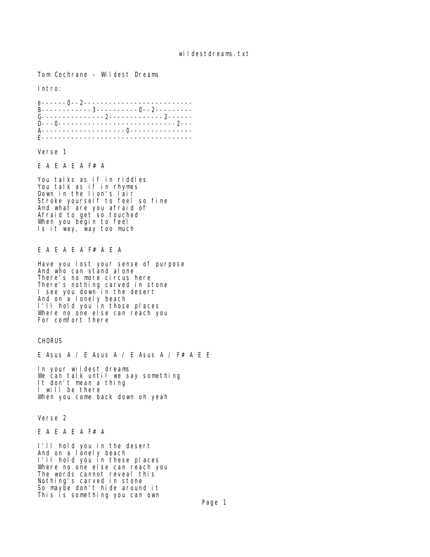Tom Cochrane – Wildest Dreams

Intro:

e------0--2-------------------------- B------------3----------0--2--------- G---------------2-------------2------ D---0----------------------------2--- A--------------------0--------------- E------------------------------------

Verse 1

E A E A E A F# A

You talks as if in riddles You talk as if in rhymes Down in the lion's lair Stroke yourself to feel so fine And what are you afraid of Afraid to get so touched When you begin to feel Is it way, way too much

## E A E A E A F# A E A

Have you lost your sense of purpose And who can stand alone There's no more circus here There's nothing carved in stone I see you down in the desert And on a lonely beach I'll hold you in those places Where no one else can reach you For comfort there

**CHORUS** 

E Asus A / E Asus A / E Asus A / F# A E E

In your wildest dreams We can talk until we say something It don't mean a thing I will be there When you come back down oh yeah

Verse 2

E A E A E A F# A

I'll hold you in the desert And on a lonely beach I'll hold you in these places Where no one else can reach you The words cannot reveal this Nothing's carved in stone So maybe don't hide around it This is something you can own